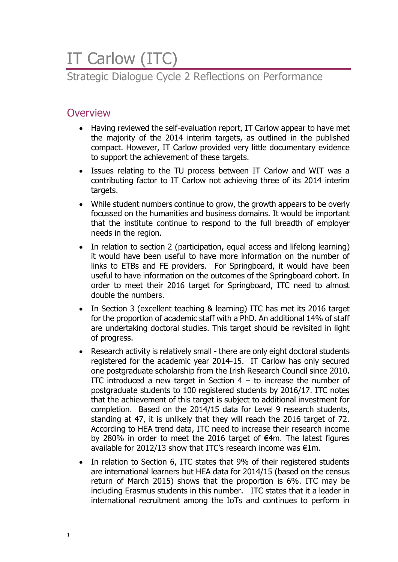# IT Carlow (ITC)

### Strategic Dialogue Cycle 2 Reflections on Performance

### **Overview**

- Having reviewed the self-evaluation report, IT Carlow appear to have met the majority of the 2014 interim targets, as outlined in the published compact. However, IT Carlow provided very little documentary evidence to support the achievement of these targets.
- Issues relating to the TU process between IT Carlow and WIT was a contributing factor to IT Carlow not achieving three of its 2014 interim targets.
- While student numbers continue to grow, the growth appears to be overly focussed on the humanities and business domains. It would be important that the institute continue to respond to the full breadth of employer needs in the region.
- In relation to section 2 (participation, equal access and lifelong learning) it would have been useful to have more information on the number of links to ETBs and FE providers. For Springboard, it would have been useful to have information on the outcomes of the Springboard cohort. In order to meet their 2016 target for Springboard, ITC need to almost double the numbers.
- In Section 3 (excellent teaching & learning) ITC has met its 2016 target for the proportion of academic staff with a PhD. An additional 14% of staff are undertaking doctoral studies. This target should be revisited in light of progress.
- Research activity is relatively small there are only eight doctoral students registered for the academic year 2014-15. IT Carlow has only secured one postgraduate scholarship from the Irish Research Council since 2010. ITC introduced a new target in Section  $4 -$  to increase the number of postgraduate students to 100 registered students by 2016/17. ITC notes that the achievement of this target is subject to additional investment for completion. Based on the 2014/15 data for Level 9 research students, standing at 47, it is unlikely that they will reach the 2016 target of 72. According to HEA trend data, ITC need to increase their research income by 280% in order to meet the 2016 target of €4m. The latest figures available for 2012/13 show that ITC's research income was €1m.
- In relation to Section 6, ITC states that 9% of their registered students are international learners but HEA data for 2014/15 (based on the census return of March 2015) shows that the proportion is 6%. ITC may be including Erasmus students in this number. ITC states that it a leader in international recruitment among the IoTs and continues to perform in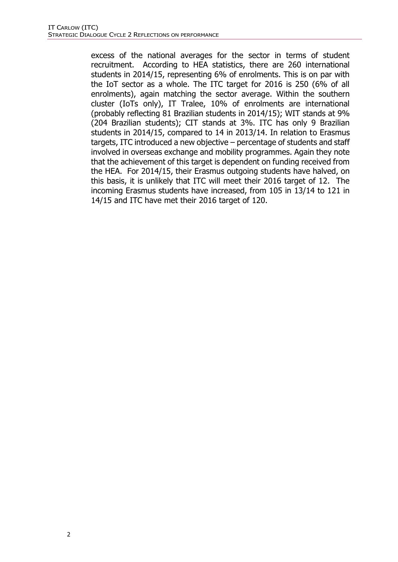excess of the national averages for the sector in terms of student recruitment. According to HEA statistics, there are 260 international students in 2014/15, representing 6% of enrolments. This is on par with the IoT sector as a whole. The ITC target for 2016 is 250 (6% of all enrolments), again matching the sector average. Within the southern cluster (IoTs only), IT Tralee, 10% of enrolments are international (probably reflecting 81 Brazilian students in 2014/15); WIT stands at 9% (204 Brazilian students); CIT stands at 3%. ITC has only 9 Brazilian students in 2014/15, compared to 14 in 2013/14. In relation to Erasmus targets, ITC introduced a new objective – percentage of students and staff involved in overseas exchange and mobility programmes. Again they note that the achievement of this target is dependent on funding received from the HEA. For 2014/15, their Erasmus outgoing students have halved, on this basis, it is unlikely that ITC will meet their 2016 target of 12. The incoming Erasmus students have increased, from 105 in 13/14 to 121 in 14/15 and ITC have met their 2016 target of 120.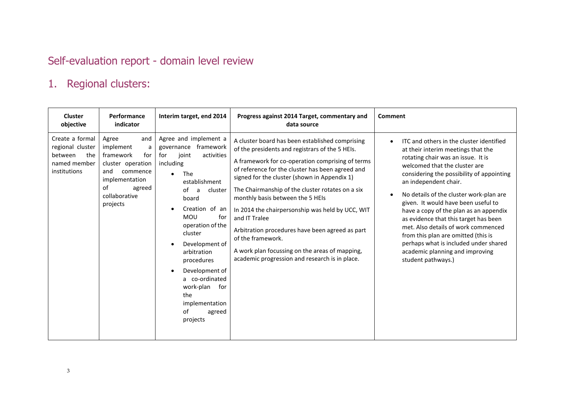# Self-evaluation report - domain level review

# 1. Regional clusters:

| <b>Cluster</b><br>objective                                                           | Performance<br>indicator                                                                                                                                  | Interim target, end 2014                                                                                                                                                                                                                                                                                                                                                             | Progress against 2014 Target, commentary and<br>data source                                                                                                                                                                                                                                                                                                                                                                                                                                                                                                                                         | Comment                                                                                                                                                                                                                                                                                                                                                                                                                                                                                                                                                                          |
|---------------------------------------------------------------------------------------|-----------------------------------------------------------------------------------------------------------------------------------------------------------|--------------------------------------------------------------------------------------------------------------------------------------------------------------------------------------------------------------------------------------------------------------------------------------------------------------------------------------------------------------------------------------|-----------------------------------------------------------------------------------------------------------------------------------------------------------------------------------------------------------------------------------------------------------------------------------------------------------------------------------------------------------------------------------------------------------------------------------------------------------------------------------------------------------------------------------------------------------------------------------------------------|----------------------------------------------------------------------------------------------------------------------------------------------------------------------------------------------------------------------------------------------------------------------------------------------------------------------------------------------------------------------------------------------------------------------------------------------------------------------------------------------------------------------------------------------------------------------------------|
| Create a formal<br>regional cluster<br>the<br>between<br>named member<br>institutions | Agree<br>and<br>implement<br>a<br>framework<br>for<br>cluster operation<br>and<br>commence<br>implementation<br>οf<br>agreed<br>collaborative<br>projects | Agree and implement a<br>framework<br>governance<br>for<br>joint<br>activities<br>including<br>The<br>establishment<br>of<br>cluster<br>a<br>board<br>Creation of an<br><b>MOU</b><br>for<br>operation of the<br>cluster<br>Development of<br>arbitration<br>procedures<br>Development of<br>a co-ordinated<br>work-plan<br>for<br>the<br>implementation<br>of<br>agreed<br>projects | A cluster board has been established comprising<br>of the presidents and registrars of the 5 HEIs.<br>A framework for co-operation comprising of terms<br>of reference for the cluster has been agreed and<br>signed for the cluster (shown in Appendix 1)<br>The Chairmanship of the cluster rotates on a six<br>monthly basis between the 5 HEIs<br>In 2014 the chairpersonship was held by UCC, WIT<br>and IT Tralee<br>Arbitration procedures have been agreed as part<br>of the framework.<br>A work plan focussing on the areas of mapping,<br>academic progression and research is in place. | ITC and others in the cluster identified<br>at their interim meetings that the<br>rotating chair was an issue. It is<br>welcomed that the cluster are<br>considering the possibility of appointing<br>an independent chair.<br>No details of the cluster work-plan are<br>given. It would have been useful to<br>have a copy of the plan as an appendix<br>as evidence that this target has been<br>met. Also details of work commenced<br>from this plan are omitted (this is<br>perhaps what is included under shared<br>academic planning and improving<br>student pathways.) |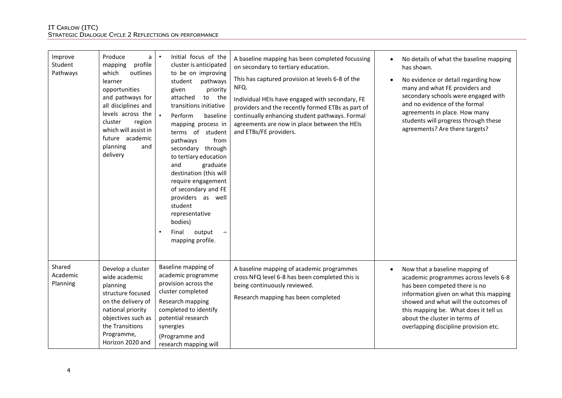| Improve<br>Student<br>Pathways | Produce<br>a<br>profile<br>mapping<br>which<br>outlines<br>learner<br>opportunities<br>and pathways for<br>all disciplines and<br>levels across the<br>cluster<br>region<br>which will assist in<br>future academic<br>planning<br>and<br>delivery | Initial focus of the<br>$\bullet$<br>cluster is anticipated<br>to be on improving<br>pathways<br>student<br>priority<br>given<br>attached<br>to<br>the<br>transitions initiative<br>Perform<br>baseline<br>mapping process in<br>terms of student<br>pathways<br>from<br>secondary through<br>to tertiary education<br>and<br>graduate<br>destination (this will<br>require engagement<br>of secondary and FE<br>providers as well<br>student<br>representative<br>bodies)<br>output<br>$\bullet$<br>Final<br>mapping profile. | A baseline mapping has been completed focussing<br>on secondary to tertiary education.<br>This has captured provision at levels 6-8 of the<br>NFQ.<br>Individual HEIs have engaged with secondary, FE<br>providers and the recently formed ETBs as part of<br>continually enhancing student pathways. Formal<br>agreements are now in place between the HEIs<br>and ETBs/FE providers. | No details of what the baseline mapping<br>has shown.<br>No evidence or detail regarding how<br>many and what FE providers and<br>secondary schools were engaged with<br>and no evidence of the formal<br>agreements in place. How many<br>students will progress through these<br>agreements? Are there targets? |
|--------------------------------|----------------------------------------------------------------------------------------------------------------------------------------------------------------------------------------------------------------------------------------------------|--------------------------------------------------------------------------------------------------------------------------------------------------------------------------------------------------------------------------------------------------------------------------------------------------------------------------------------------------------------------------------------------------------------------------------------------------------------------------------------------------------------------------------|----------------------------------------------------------------------------------------------------------------------------------------------------------------------------------------------------------------------------------------------------------------------------------------------------------------------------------------------------------------------------------------|-------------------------------------------------------------------------------------------------------------------------------------------------------------------------------------------------------------------------------------------------------------------------------------------------------------------|
| Shared<br>Academic<br>Planning | Develop a cluster<br>wide academic<br>planning<br>structure focused<br>on the delivery of<br>national priority<br>objectives such as<br>the Transitions<br>Programme,<br>Horizon 2020 and                                                          | Baseline mapping of<br>academic programme<br>provision across the<br>cluster completed<br>Research mapping<br>completed to identify<br>potential research<br>synergies<br>(Programme and<br>research mapping will                                                                                                                                                                                                                                                                                                              | A baseline mapping of academic programmes<br>cross NFQ level 6-8 has been completed this is<br>being continuously reviewed.<br>Research mapping has been completed                                                                                                                                                                                                                     | Now that a baseline mapping of<br>academic programmes across levels 6-8<br>has been competed there is no<br>information given on what this mapping<br>showed and what will the outcomes of<br>this mapping be. What does it tell us<br>about the cluster in terms of<br>overlapping discipline provision etc.     |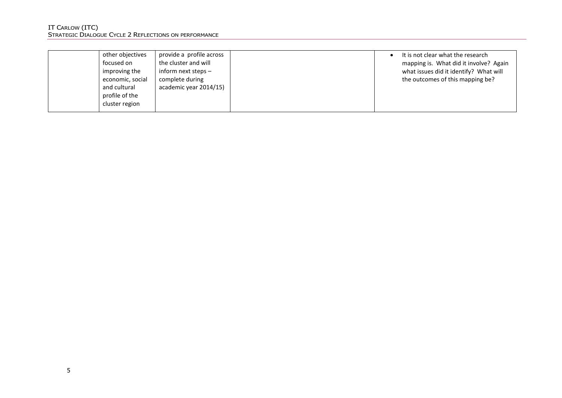| It is not clear what the research      |
|----------------------------------------|
| mapping is. What did it involve? Again |
| what issues did it identify? What will |
| the outcomes of this mapping be?       |
|                                        |
|                                        |
|                                        |
|                                        |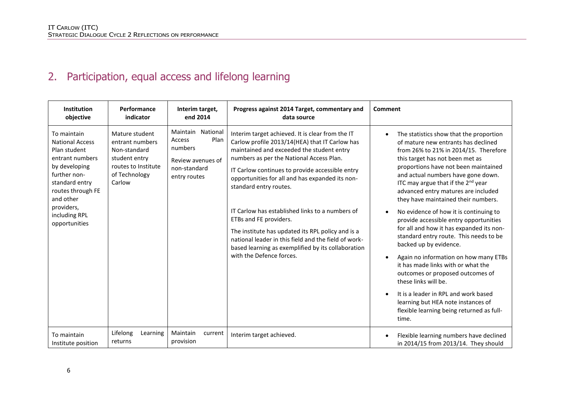# 2. Participation, equal access and lifelong learning

| <b>Institution</b><br>objective                                                                                                                                                                               | Performance<br>indicator                                                                                             | Interim target,<br>end 2014                                                                                | Progress against 2014 Target, commentary and<br>data source                                                                                                                                                                                                                                                                                                                                                                                                                                                                                                                                             | Comment                                                                                                                                                                                                                                                                                                                                                                                                                                                                                                                                                                                                                                                                                                                                                                                                                                                                                                         |
|---------------------------------------------------------------------------------------------------------------------------------------------------------------------------------------------------------------|----------------------------------------------------------------------------------------------------------------------|------------------------------------------------------------------------------------------------------------|---------------------------------------------------------------------------------------------------------------------------------------------------------------------------------------------------------------------------------------------------------------------------------------------------------------------------------------------------------------------------------------------------------------------------------------------------------------------------------------------------------------------------------------------------------------------------------------------------------|-----------------------------------------------------------------------------------------------------------------------------------------------------------------------------------------------------------------------------------------------------------------------------------------------------------------------------------------------------------------------------------------------------------------------------------------------------------------------------------------------------------------------------------------------------------------------------------------------------------------------------------------------------------------------------------------------------------------------------------------------------------------------------------------------------------------------------------------------------------------------------------------------------------------|
| To maintain<br><b>National Access</b><br>Plan student<br>entrant numbers<br>by developing<br>further non-<br>standard entry<br>routes through FE<br>and other<br>providers,<br>including RPL<br>opportunities | Mature student<br>entrant numbers<br>Non-standard<br>student entry<br>routes to Institute<br>of Technology<br>Carlow | Maintain National<br>Plan<br><b>Access</b><br>numbers<br>Review avenues of<br>non-standard<br>entry routes | Interim target achieved. It is clear from the IT<br>Carlow profile 2013/14(HEA) that IT Carlow has<br>maintained and exceeded the student entry<br>numbers as per the National Access Plan.<br>IT Carlow continues to provide accessible entry<br>opportunities for all and has expanded its non-<br>standard entry routes.<br>IT Carlow has established links to a numbers of<br>ETBs and FE providers.<br>The institute has updated its RPL policy and is a<br>national leader in this field and the field of work-<br>based learning as exemplified by its collaboration<br>with the Defence forces. | The statistics show that the proportion<br>$\bullet$<br>of mature new entrants has declined<br>from 26% to 21% in 2014/15. Therefore<br>this target has not been met as<br>proportions have not been maintained<br>and actual numbers have gone down.<br>ITC may argue that if the 2 <sup>nd</sup> year<br>advanced entry matures are included<br>they have maintained their numbers.<br>No evidence of how it is continuing to<br>$\bullet$<br>provide accessible entry opportunities<br>for all and how it has expanded its non-<br>standard entry route. This needs to be<br>backed up by evidence.<br>Again no information on how many ETBs<br>$\bullet$<br>it has made links with or what the<br>outcomes or proposed outcomes of<br>these links will be.<br>It is a leader in RPL and work based<br>$\bullet$<br>learning but HEA note instances of<br>flexible learning being returned as full-<br>time. |
| To maintain<br>Institute position                                                                                                                                                                             | Lifelong<br>Learning<br>returns                                                                                      | Maintain<br>current<br>provision                                                                           | Interim target achieved.                                                                                                                                                                                                                                                                                                                                                                                                                                                                                                                                                                                | Flexible learning numbers have declined<br>$\bullet$<br>in 2014/15 from 2013/14. They should                                                                                                                                                                                                                                                                                                                                                                                                                                                                                                                                                                                                                                                                                                                                                                                                                    |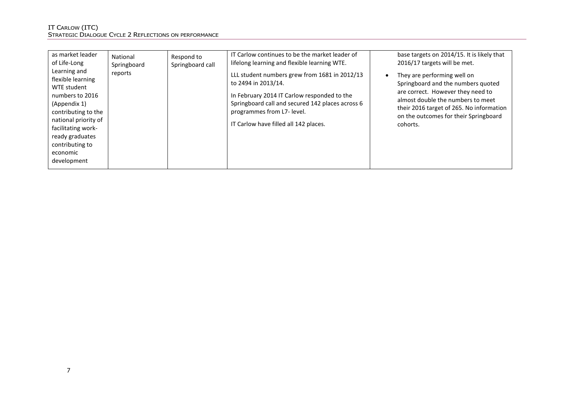| as market leader                                                                                                                                                                                                          | National    | Respond to       | IT Carlow continues to be the market leader of                                                                                                                                                                                                 | base targets on 2014/15. It is likely that                                                                                                                                                                                                                |
|---------------------------------------------------------------------------------------------------------------------------------------------------------------------------------------------------------------------------|-------------|------------------|------------------------------------------------------------------------------------------------------------------------------------------------------------------------------------------------------------------------------------------------|-----------------------------------------------------------------------------------------------------------------------------------------------------------------------------------------------------------------------------------------------------------|
| of Life-Long                                                                                                                                                                                                              | Springboard | Springboard call | lifelong learning and flexible learning WTE.                                                                                                                                                                                                   | 2016/17 targets will be met.                                                                                                                                                                                                                              |
| Learning and<br>flexible learning<br>WTE student<br>numbers to 2016<br>(Appendix 1)<br>contributing to the<br>national priority of<br>facilitating work-<br>ready graduates<br>contributing to<br>economic<br>development | reports     |                  | LLL student numbers grew from 1681 in 2012/13<br>to 2494 in 2013/14.<br>In February 2014 IT Carlow responded to the<br>Springboard call and secured 142 places across 6<br>programmes from L7- level.<br>IT Carlow have filled all 142 places. | They are performing well on<br>$\bullet$<br>Springboard and the numbers quoted<br>are correct. However they need to<br>almost double the numbers to meet<br>their 2016 target of 265. No information<br>on the outcomes for their Springboard<br>cohorts. |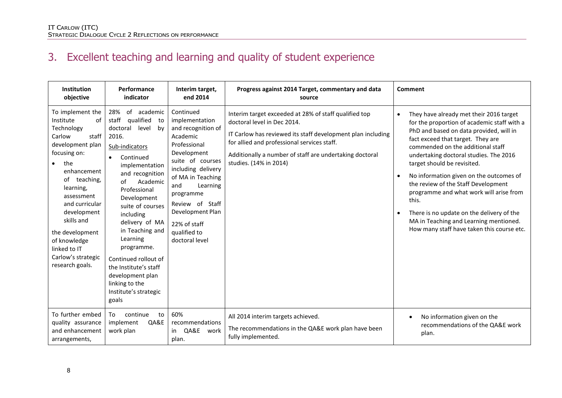# 3. Excellent teaching and learning and quality of student experience

| Institution<br>objective                                                                                                                                                                                                                                                                                                          | Performance<br>indicator                                                                                                                                                                                                                                                                                                                                                                                                                      | Interim target,<br>end 2014                                                                                                                                                                                                                                                          | Progress against 2014 Target, commentary and data<br>source                                                                                                                                                                                                                             | Comment                                                                                                                                                                                                                                                                                                                                                                                                                                                                                                                                                                      |
|-----------------------------------------------------------------------------------------------------------------------------------------------------------------------------------------------------------------------------------------------------------------------------------------------------------------------------------|-----------------------------------------------------------------------------------------------------------------------------------------------------------------------------------------------------------------------------------------------------------------------------------------------------------------------------------------------------------------------------------------------------------------------------------------------|--------------------------------------------------------------------------------------------------------------------------------------------------------------------------------------------------------------------------------------------------------------------------------------|-----------------------------------------------------------------------------------------------------------------------------------------------------------------------------------------------------------------------------------------------------------------------------------------|------------------------------------------------------------------------------------------------------------------------------------------------------------------------------------------------------------------------------------------------------------------------------------------------------------------------------------------------------------------------------------------------------------------------------------------------------------------------------------------------------------------------------------------------------------------------------|
| To implement the<br>Institute<br>of<br>Technology<br>staff<br>Carlow<br>development plan<br>focusing on:<br>the<br>$\bullet$<br>enhancement<br>of teaching,<br>learning,<br>assessment<br>and curricular<br>development<br>skills and<br>the development<br>of knowledge<br>linked to IT<br>Carlow's strategic<br>research goals. | of academic<br>28%<br>qualified<br>staff<br>to<br>doctoral<br>level<br>by<br>2016.<br>Sub-indicators<br>Continued<br>$\bullet$<br>implementation<br>and recognition<br>of<br>Academic<br>Professional<br>Development<br>suite of courses<br>including<br>delivery of MA<br>in Teaching and<br>Learning<br>programme.<br>Continued rollout of<br>the Institute's staff<br>development plan<br>linking to the<br>Institute's strategic<br>goals | Continued<br>implementation<br>and recognition of<br>Academic<br>Professional<br>Development<br>suite of courses<br>including delivery<br>of MA in Teaching<br>and<br>Learning<br>programme<br>Review of Staff<br>Development Plan<br>22% of staff<br>qualified to<br>doctoral level | Interim target exceeded at 28% of staff qualified top<br>doctoral level in Dec 2014.<br>IT Carlow has reviewed its staff development plan including<br>for allied and professional services staff.<br>Additionally a number of staff are undertaking doctoral<br>studies. (14% in 2014) | They have already met their 2016 target<br>$\bullet$<br>for the proportion of academic staff with a<br>PhD and based on data provided, will in<br>fact exceed that target. They are<br>commended on the additional staff<br>undertaking doctoral studies. The 2016<br>target should be revisited.<br>No information given on the outcomes of<br>the review of the Staff Development<br>programme and what work will arise from<br>this.<br>There is no update on the delivery of the<br>MA in Teaching and Learning mentioned.<br>How many staff have taken this course etc. |
| To further embed<br>quality assurance<br>and enhancement<br>arrangements,                                                                                                                                                                                                                                                         | continue<br>To<br>to<br>QA&E<br>implement<br>work plan                                                                                                                                                                                                                                                                                                                                                                                        | 60%<br>recommendations<br>QA&E<br>work<br>in<br>plan.                                                                                                                                                                                                                                | All 2014 interim targets achieved.<br>The recommendations in the QA&E work plan have been<br>fully implemented.                                                                                                                                                                         | No information given on the<br>$\bullet$<br>recommendations of the QA&E work<br>plan.                                                                                                                                                                                                                                                                                                                                                                                                                                                                                        |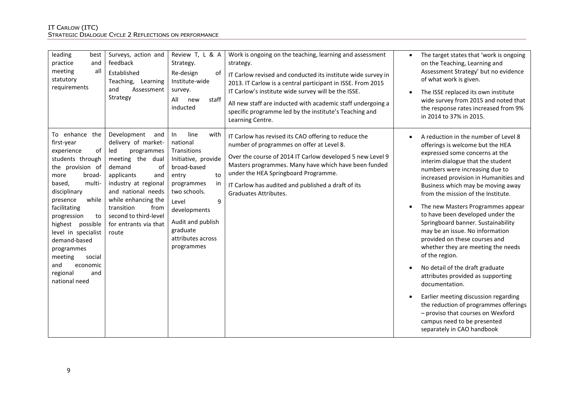| leading<br>best<br>practice<br>and<br>all<br>meeting<br>statutory<br>requirements                                                                                                                                                                                                                                                                                | Surveys, action and<br>feedback<br>Established<br>Teaching,<br>Learning<br>and<br>Assessment<br>Strategy                                                                                                                                                                      | Review T, L & A<br>Strategy.<br>Re-design<br>of<br>Institute-wide<br>survey.<br>staff<br>All<br>new<br>inducted                                                                                                                          | Work is ongoing on the teaching, learning and assessment<br>strategy.<br>IT Carlow revised and conducted its institute wide survey in<br>2013. IT Carlow is a central participant in ISSE. From 2015<br>IT Carlow's institute wide survey will be the ISSE.<br>All new staff are inducted with academic staff undergoing a<br>specific programme led by the institute's Teaching and<br>Learning Centre. | $\bullet$ | The target states that 'work is ongoing<br>on the Teaching, Learning and<br>Assessment Strategy' but no evidence<br>of what work is given.<br>The ISSE replaced its own institute<br>wide survey from 2015 and noted that<br>the response rates increased from 9%<br>in 2014 to 37% in 2015.                                                                                                                                                                                                                                                                                                                                                                                                                                                                                                                                  |
|------------------------------------------------------------------------------------------------------------------------------------------------------------------------------------------------------------------------------------------------------------------------------------------------------------------------------------------------------------------|-------------------------------------------------------------------------------------------------------------------------------------------------------------------------------------------------------------------------------------------------------------------------------|------------------------------------------------------------------------------------------------------------------------------------------------------------------------------------------------------------------------------------------|----------------------------------------------------------------------------------------------------------------------------------------------------------------------------------------------------------------------------------------------------------------------------------------------------------------------------------------------------------------------------------------------------------|-----------|-------------------------------------------------------------------------------------------------------------------------------------------------------------------------------------------------------------------------------------------------------------------------------------------------------------------------------------------------------------------------------------------------------------------------------------------------------------------------------------------------------------------------------------------------------------------------------------------------------------------------------------------------------------------------------------------------------------------------------------------------------------------------------------------------------------------------------|
| To enhance<br>the<br>first-year<br>experience<br>οf<br>students through<br>the provision of<br>broad-<br>more<br>based,<br>multi-<br>disciplinary<br>while<br>presence<br>facilitating<br>progression<br>to<br>highest possible<br>level in specialist<br>demand-based<br>programmes<br>meeting<br>social<br>economic<br>and<br>and<br>regional<br>national need | Development<br>and<br>delivery of market-<br>led<br>programmes<br>meeting the dual<br>demand<br>of<br>applicants<br>and<br>industry at regional<br>and national needs<br>while enhancing the<br>transition<br>from<br>second to third-level<br>for entrants via that<br>route | line<br>In<br>with<br>national<br>Transitions<br>Initiative, provide<br>broad-based<br>to<br>entry<br>in<br>programmes<br>two schools.<br>9<br>Level<br>developments<br>Audit and publish<br>graduate<br>attributes across<br>programmes | IT Carlow has revised its CAO offering to reduce the<br>number of programmes on offer at Level 8.<br>Over the course of 2014 IT Carlow developed 5 new Level 9<br>Masters programmes. Many have which have been funded<br>under the HEA Springboard Programme.<br>IT Carlow has audited and published a draft of its<br>Graduates Attributes.                                                            |           | A reduction in the number of Level 8<br>offerings is welcome but the HEA<br>expressed some concerns at the<br>interim dialogue that the student<br>numbers were increasing due to<br>increased provision in Humanities and<br>Business which may be moving away<br>from the mission of the Institute.<br>The new Masters Programmes appear<br>to have been developed under the<br>Springboard banner. Sustainability<br>may be an issue. No information<br>provided on these courses and<br>whether they are meeting the needs<br>of the region.<br>No detail of the draft graduate<br>attributes provided as supporting<br>documentation.<br>Earlier meeting discussion regarding<br>the reduction of programmes offerings<br>- proviso that courses on Wexford<br>campus need to be presented<br>separately in CAO handbook |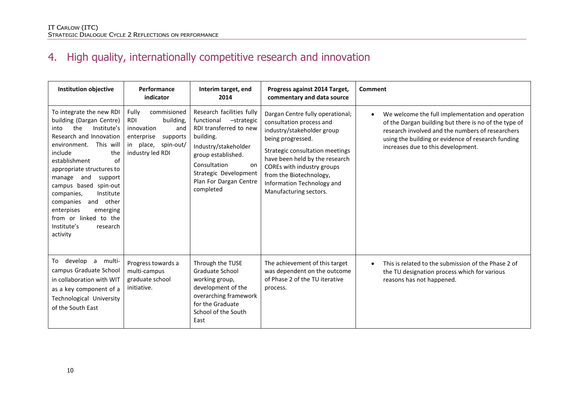# 4. High quality, internationally competitive research and innovation

| <b>Institution objective</b>                                                                                                                                                                                                                                                                                                                                                                                               | Performance<br>indicator                                                                                                                  | Interim target, end<br>2014                                                                                                                                                                                                      | Progress against 2014 Target,<br>commentary and data source                                                                                                                                                                                                                                           | <b>Comment</b>                                                                                                                                                                                                                                                         |
|----------------------------------------------------------------------------------------------------------------------------------------------------------------------------------------------------------------------------------------------------------------------------------------------------------------------------------------------------------------------------------------------------------------------------|-------------------------------------------------------------------------------------------------------------------------------------------|----------------------------------------------------------------------------------------------------------------------------------------------------------------------------------------------------------------------------------|-------------------------------------------------------------------------------------------------------------------------------------------------------------------------------------------------------------------------------------------------------------------------------------------------------|------------------------------------------------------------------------------------------------------------------------------------------------------------------------------------------------------------------------------------------------------------------------|
| To integrate the new RDI<br>building (Dargan Centre)<br>Institute's<br>the<br>into<br>Research and Innovation<br>This will<br>environment.<br>include<br>the<br>establishment<br>of<br>appropriate structures to<br>manage<br>and<br>support<br>campus based<br>spin-out<br>Institute<br>companies,<br>and<br>other<br>companies<br>enterpises<br>emerging<br>from or linked to the<br>Institute's<br>research<br>activity | commisioned<br>Fully<br>building,<br><b>RDI</b><br>innovation<br>and<br>enterprise<br>supports<br>in place, spin-out/<br>industry led RDI | Research facilities fully<br>functional<br>-strategic<br>RDI transferred to new<br>building.<br>Industry/stakeholder<br>group established.<br>Consultation<br>on<br>Strategic Development<br>Plan For Dargan Centre<br>completed | Dargan Centre fully operational;<br>consultation process and<br>industry/stakeholder group<br>being progressed.<br>Strategic consultation meetings<br>have been held by the research<br>COREs with industry groups<br>from the Biotechnology,<br>Information Technology and<br>Manufacturing sectors. | We welcome the full implementation and operation<br>$\bullet$<br>of the Dargan building but there is no of the type of<br>research involved and the numbers of researchers<br>using the building or evidence of research funding<br>increases due to this development. |
| develop a multi-<br>To<br>campus Graduate School<br>in collaboration with WIT<br>as a key component of a<br>Technological University<br>of the South East                                                                                                                                                                                                                                                                  | Progress towards a<br>multi-campus<br>graduate school<br>initiative.                                                                      | Through the TUSE<br>Graduate School<br>working group,<br>development of the<br>overarching framework<br>for the Graduate<br>School of the South<br>East                                                                          | The achievement of this target<br>was dependent on the outcome<br>of Phase 2 of the TU iterative<br>process.                                                                                                                                                                                          | This is related to the submission of the Phase 2 of<br>the TU designation process which for various<br>reasons has not happened.                                                                                                                                       |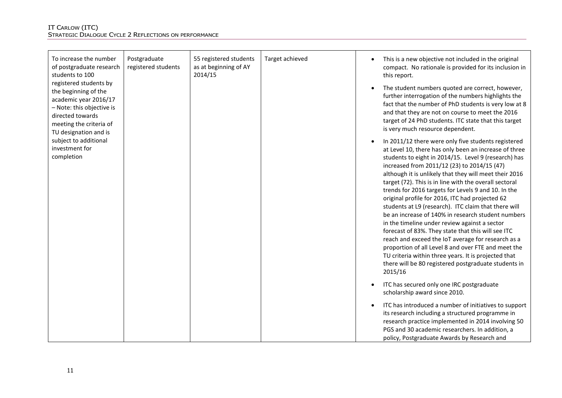| To increase the number<br>of postgraduate research<br>students to 100                                                                                                        | Postgraduate<br>registered students | 55 registered students<br>as at beginning of AY<br>2014/15 | Target achieved | $\bullet$ | This is a new objective not included in the original<br>compact. No rationale is provided for its inclusion in<br>this report.                                                                                                                                                                                                                                                                                                                                                                                                                                                                                                                                                                                                                                                                                                                                                                                 |
|------------------------------------------------------------------------------------------------------------------------------------------------------------------------------|-------------------------------------|------------------------------------------------------------|-----------------|-----------|----------------------------------------------------------------------------------------------------------------------------------------------------------------------------------------------------------------------------------------------------------------------------------------------------------------------------------------------------------------------------------------------------------------------------------------------------------------------------------------------------------------------------------------------------------------------------------------------------------------------------------------------------------------------------------------------------------------------------------------------------------------------------------------------------------------------------------------------------------------------------------------------------------------|
| registered students by<br>the beginning of the<br>academic year 2016/17<br>- Note: this objective is<br>directed towards<br>meeting the criteria of<br>TU designation and is |                                     |                                                            |                 | $\bullet$ | The student numbers quoted are correct, however,<br>further interrogation of the numbers highlights the<br>fact that the number of PhD students is very low at 8<br>and that they are not on course to meet the 2016<br>target of 24 PhD students. ITC state that this target<br>is very much resource dependent.                                                                                                                                                                                                                                                                                                                                                                                                                                                                                                                                                                                              |
| subject to additional<br>investment for<br>completion                                                                                                                        |                                     |                                                            |                 | $\bullet$ | In 2011/12 there were only five students registered<br>at Level 10, there has only been an increase of three<br>students to eight in 2014/15. Level 9 (research) has<br>increased from 2011/12 (23) to 2014/15 (47)<br>although it is unlikely that they will meet their 2016<br>target (72). This is in line with the overall sectoral<br>trends for 2016 targets for Levels 9 and 10. In the<br>original profile for 2016, ITC had projected 62<br>students at L9 (research). ITC claim that there will<br>be an increase of 140% in research student numbers<br>in the timeline under review against a sector<br>forecast of 83%. They state that this will see ITC<br>reach and exceed the IoT average for research as a<br>proportion of all Level 8 and over FTE and meet the<br>TU criteria within three years. It is projected that<br>there will be 80 registered postgraduate students in<br>2015/16 |
|                                                                                                                                                                              |                                     |                                                            |                 | $\bullet$ | ITC has secured only one IRC postgraduate<br>scholarship award since 2010.                                                                                                                                                                                                                                                                                                                                                                                                                                                                                                                                                                                                                                                                                                                                                                                                                                     |
|                                                                                                                                                                              |                                     |                                                            |                 | $\bullet$ | ITC has introduced a number of initiatives to support<br>its research including a structured programme in<br>research practice implemented in 2014 involving 50<br>PGS and 30 academic researchers. In addition, a<br>policy, Postgraduate Awards by Research and                                                                                                                                                                                                                                                                                                                                                                                                                                                                                                                                                                                                                                              |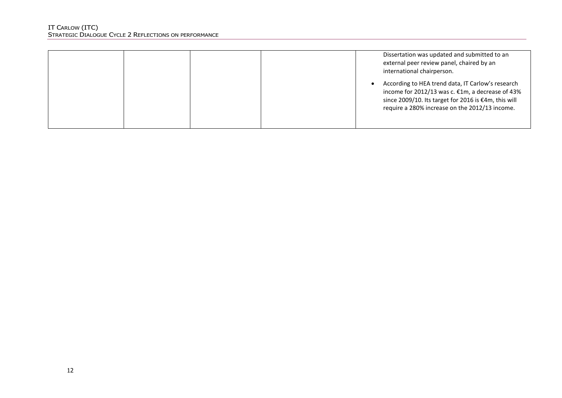|  | Dissertation was updated and submitted to an<br>external peer review panel, chaired by an<br>international chairperson.                                                                                         |
|--|-----------------------------------------------------------------------------------------------------------------------------------------------------------------------------------------------------------------|
|  | According to HEA trend data, IT Carlow's research<br>income for 2012/13 was c. €1m, a decrease of 43%<br>since 2009/10. Its target for 2016 is €4m, this will<br>require a 280% increase on the 2012/13 income. |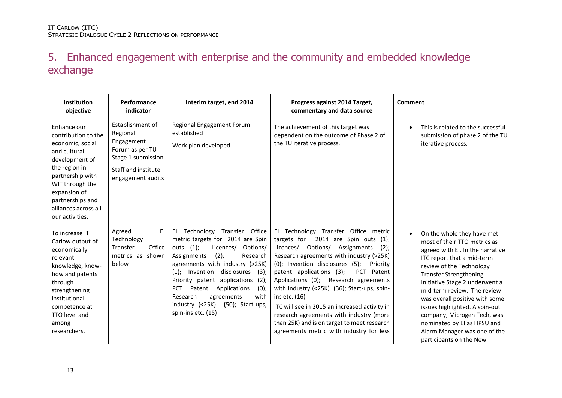### 5. Enhanced engagement with enterprise and the community and embedded knowledge exchange

| Institution<br>objective                                                                                                                                                                                                        | Performance<br>indicator                                                                                                                                                                                  | Interim target, end 2014                                                                                                                                                                                                                                                                                                                                                                                                         | Progress against 2014 Target,<br>commentary and data source                                                                                                                                                                                                                                                                                                                                                                                                                                                                                                      | Comment                                                                                                                                                                                                                                                                                                                                                                                                                                                 |
|---------------------------------------------------------------------------------------------------------------------------------------------------------------------------------------------------------------------------------|-----------------------------------------------------------------------------------------------------------------------------------------------------------------------------------------------------------|----------------------------------------------------------------------------------------------------------------------------------------------------------------------------------------------------------------------------------------------------------------------------------------------------------------------------------------------------------------------------------------------------------------------------------|------------------------------------------------------------------------------------------------------------------------------------------------------------------------------------------------------------------------------------------------------------------------------------------------------------------------------------------------------------------------------------------------------------------------------------------------------------------------------------------------------------------------------------------------------------------|---------------------------------------------------------------------------------------------------------------------------------------------------------------------------------------------------------------------------------------------------------------------------------------------------------------------------------------------------------------------------------------------------------------------------------------------------------|
| Enhance our<br>contribution to the<br>economic, social<br>and cultural<br>development of<br>the region in<br>partnership with<br>WIT through the<br>expansion of<br>partnerships and<br>alliances across all<br>our activities. | Establishment of<br><b>Regional Engagement Forum</b><br>established<br>Regional<br>Engagement<br>Work plan developed<br>Forum as per TU<br>Stage 1 submission<br>Staff and institute<br>engagement audits |                                                                                                                                                                                                                                                                                                                                                                                                                                  | The achievement of this target was<br>dependent on the outcome of Phase 2 of<br>the TU iterative process.                                                                                                                                                                                                                                                                                                                                                                                                                                                        | This is related to the successful<br>$\bullet$<br>submission of phase 2 of the TU<br>iterative process.                                                                                                                                                                                                                                                                                                                                                 |
| To increase IT<br>Carlow output of<br>economically<br>relevant<br>knowledge, know-<br>how and patents<br>through<br>strengthening<br>institutional<br>competence at<br>TTO level and<br>among<br>researchers.                   | ΕI<br>Agreed<br>Technology<br>Transfer<br>Office<br>metrics as shown<br>below                                                                                                                             | Technology Transfer Office<br>EI.<br>metric targets for 2014 are Spin<br>$(1)$ ;<br>Licences/<br>Options/<br>outs<br>Assignments<br>(2);<br>Research<br>agreements with industry (>25K)<br>disclosures<br>Invention<br>(3);<br>$(1)$ ;<br>Priority patent applications<br>$(2)$ ;<br>Patent Applications<br><b>PCT</b><br>(0);<br>Research<br>agreements<br>with<br>industry (<25K)<br>$(50)$ ; Start-ups,<br>spin-ins etc. (15) | El Technology Transfer Office metric<br>targets for<br>2014 are Spin outs (1);<br>Licences/ Options/ Assignments<br>$(2)$ :<br>Research agreements with industry (>25K)<br>(0); Invention disclosures (5);<br>Priority<br>patent applications (3);<br>PCT Patent<br>Applications (0); Research agreements<br>with industry (<25K) (36); Start-ups, spin-<br>ins etc. (16)<br>ITC will see in 2015 an increased activity in<br>research agreements with industry (more<br>than 25K) and is on target to meet research<br>agreements metric with industry for less | On the whole they have met<br>most of their TTO metrics as<br>agreed with EI. In the narrative<br>ITC report that a mid-term<br>review of the Technology<br><b>Transfer Strengthening</b><br>Initiative Stage 2 underwent a<br>mid-term review. The review<br>was overall positive with some<br>issues highlighted. A spin-out<br>company, Microgen Tech, was<br>nominated by EI as HPSU and<br>Alarm Manager was one of the<br>participants on the New |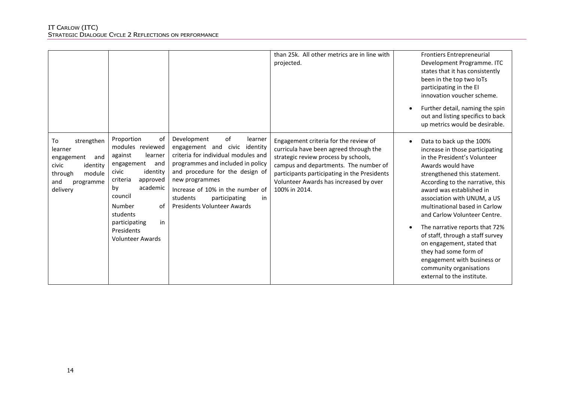|                                                                                                                            |                                                                                                                                                                                                                                                       |                                                                                                                                                                                                                                                                                                             | than 25k. All other metrics are in line with<br>projected.                                                                                                                                                                                                                  | <b>Frontiers Entrepreneurial</b><br>Development Programme. ITC<br>states that it has consistently<br>been in the top two loTs<br>participating in the EI<br>innovation voucher scheme.                                                                                                                                                                                                                                                                                                                                                             |
|----------------------------------------------------------------------------------------------------------------------------|-------------------------------------------------------------------------------------------------------------------------------------------------------------------------------------------------------------------------------------------------------|-------------------------------------------------------------------------------------------------------------------------------------------------------------------------------------------------------------------------------------------------------------------------------------------------------------|-----------------------------------------------------------------------------------------------------------------------------------------------------------------------------------------------------------------------------------------------------------------------------|----------------------------------------------------------------------------------------------------------------------------------------------------------------------------------------------------------------------------------------------------------------------------------------------------------------------------------------------------------------------------------------------------------------------------------------------------------------------------------------------------------------------------------------------------|
|                                                                                                                            |                                                                                                                                                                                                                                                       |                                                                                                                                                                                                                                                                                                             |                                                                                                                                                                                                                                                                             | Further detail, naming the spin<br>out and listing specifics to back<br>up metrics would be desirable.                                                                                                                                                                                                                                                                                                                                                                                                                                             |
| strengthen<br>To<br>learner<br>engagement<br>and<br>civic<br>identity<br>module<br>through<br>and<br>programme<br>delivery | Proportion<br>0f<br>modules reviewed<br>against<br>learner<br>engagement<br>and<br>identity<br>civic<br>criteria<br>approved<br>academic<br>bv<br>council<br>Number<br>0f<br>students<br>participating<br>in<br>Presidents<br><b>Volunteer Awards</b> | of<br>Development<br>learner<br>engagement and civic identity<br>criteria for individual modules and<br>programmes and included in policy<br>and procedure for the design of<br>new programmes<br>Increase of 10% in the number of<br>students<br>participating<br>in<br><b>Presidents Volunteer Awards</b> | Engagement criteria for the review of<br>curricula have been agreed through the<br>strategic review process by schools,<br>campus and departments. The number of<br>participants participating in the Presidents<br>Volunteer Awards has increased by over<br>100% in 2014. | Data to back up the 100%<br>$\bullet$<br>increase in those participating<br>in the President's Volunteer<br>Awards would have<br>strengthened this statement.<br>According to the narrative, this<br>award was established in<br>association with UNUM, a US<br>multinational based in Carlow<br>and Carlow Volunteer Centre.<br>The narrative reports that 72%<br>of staff, through a staff survey<br>on engagement, stated that<br>they had some form of<br>engagement with business or<br>community organisations<br>external to the institute. |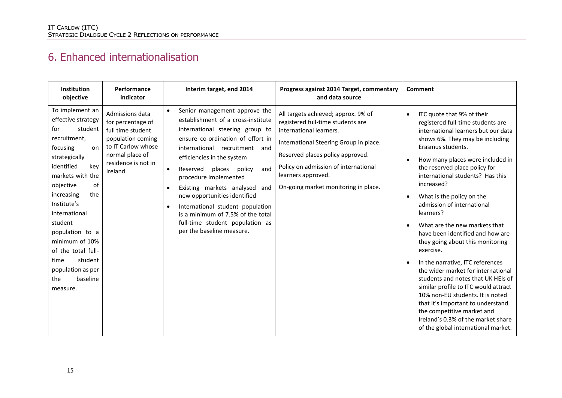### 6. Enhanced internationalisation

| <b>Institution</b><br>Performance<br>indicator<br>objective                                                                                                                                                                                                                                                                                                                                                                                                                                                                           | Interim target, end 2014                                                                                                                                                                                                                                                                                                                                                                                                                                                                                          | Progress against 2014 Target, commentary<br>and data source                                                                                                                                                                                                                             | Comment                                                                                                                                                                                                                                                                                                                                                                                                                                                                                                                                                                                                                                                                                                                                                                                                                                                                                          |
|---------------------------------------------------------------------------------------------------------------------------------------------------------------------------------------------------------------------------------------------------------------------------------------------------------------------------------------------------------------------------------------------------------------------------------------------------------------------------------------------------------------------------------------|-------------------------------------------------------------------------------------------------------------------------------------------------------------------------------------------------------------------------------------------------------------------------------------------------------------------------------------------------------------------------------------------------------------------------------------------------------------------------------------------------------------------|-----------------------------------------------------------------------------------------------------------------------------------------------------------------------------------------------------------------------------------------------------------------------------------------|--------------------------------------------------------------------------------------------------------------------------------------------------------------------------------------------------------------------------------------------------------------------------------------------------------------------------------------------------------------------------------------------------------------------------------------------------------------------------------------------------------------------------------------------------------------------------------------------------------------------------------------------------------------------------------------------------------------------------------------------------------------------------------------------------------------------------------------------------------------------------------------------------|
| To implement an<br>Admissions data<br>effective strategy<br>for percentage of<br>student<br>for<br>full time student<br>recruitment,<br>population coming<br>to IT Carlow whose<br>focusing<br>on<br>normal place of<br>strategically<br>residence is not in<br>identified<br>kev<br>Ireland<br>markets with the<br>objective<br>of<br>increasing<br>the<br>Institute's<br>international<br>student<br>population to a<br>minimum of 10%<br>of the total full-<br>student<br>time<br>population as per<br>the<br>baseline<br>measure. | Senior management approve the<br>$\bullet$<br>establishment of a cross-institute<br>international steering group to<br>ensure co-ordination of effort in<br>international<br>recruitment and<br>efficiencies in the system<br>Reserved<br>places<br>policy<br>and<br>$\bullet$<br>procedure implemented<br>Existing markets analysed and<br>new opportunities identified<br>International student population<br>is a minimum of 7.5% of the total<br>full-time student population as<br>per the baseline measure. | All targets achieved; approx. 9% of<br>registered full-time students are<br>international learners.<br>International Steering Group in place.<br>Reserved places policy approved.<br>Policy on admission of international<br>learners approved.<br>On-going market monitoring in place. | ITC quote that 9% of their<br>$\bullet$<br>registered full-time students are<br>international learners but our data<br>shows 6%. They may be including<br>Erasmus students.<br>How many places were included in<br>$\bullet$<br>the reserved place policy for<br>international students? Has this<br>increased?<br>What is the policy on the<br>$\bullet$<br>admission of international<br>learners?<br>What are the new markets that<br>$\bullet$<br>have been identified and how are<br>they going about this monitoring<br>exercise.<br>In the narrative, ITC references<br>$\bullet$<br>the wider market for international<br>students and notes that UK HEIs of<br>similar profile to ITC would attract<br>10% non-EU students. It is noted<br>that it's important to understand<br>the competitive market and<br>Ireland's 0.3% of the market share<br>of the global international market. |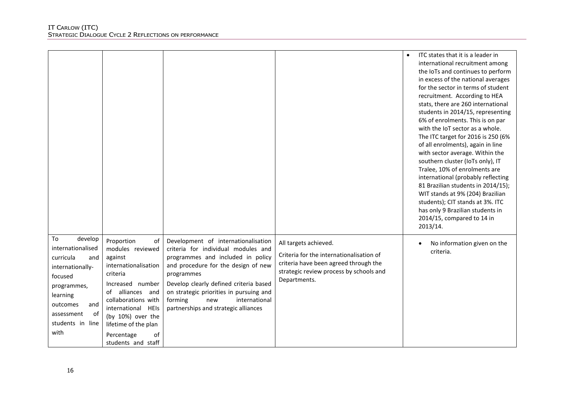|                                                                                                                                                                                     |                                                                                                                                                                                                                                                                 |                                                                                                                                                                                                                                                                                                                                      |                                                                                                                                                                       | ITC states that it is a leader in<br>international recruitment among<br>the IoTs and continues to perform<br>in excess of the national averages<br>for the sector in terms of student<br>recruitment. According to HEA<br>stats, there are 260 international<br>students in 2014/15, representing<br>6% of enrolments. This is on par<br>with the IoT sector as a whole.<br>The ITC target for 2016 is 250 (6%<br>of all enrolments), again in line<br>with sector average. Within the<br>southern cluster (IoTs only), IT<br>Tralee, 10% of enrolments are<br>international (probably reflecting<br>81 Brazilian students in 2014/15);<br>WIT stands at 9% (204) Brazilian<br>students); CIT stands at 3%. ITC<br>has only 9 Brazilian students in<br>2014/15, compared to 14 in<br>2013/14. |
|-------------------------------------------------------------------------------------------------------------------------------------------------------------------------------------|-----------------------------------------------------------------------------------------------------------------------------------------------------------------------------------------------------------------------------------------------------------------|--------------------------------------------------------------------------------------------------------------------------------------------------------------------------------------------------------------------------------------------------------------------------------------------------------------------------------------|-----------------------------------------------------------------------------------------------------------------------------------------------------------------------|-----------------------------------------------------------------------------------------------------------------------------------------------------------------------------------------------------------------------------------------------------------------------------------------------------------------------------------------------------------------------------------------------------------------------------------------------------------------------------------------------------------------------------------------------------------------------------------------------------------------------------------------------------------------------------------------------------------------------------------------------------------------------------------------------|
| develop<br>To<br>internationalised<br>curricula<br>and<br>internationally-<br>focused<br>programmes,<br>learning<br>outcomes<br>and<br>0f<br>assessment<br>students in line<br>with | Proportion<br>of<br>modules reviewed<br>against<br>internationalisation<br>criteria<br>Increased number<br>of alliances and<br>collaborations with<br>international HEIs<br>(by 10%) over the<br>lifetime of the plan<br>Percentage<br>of<br>students and staff | Development of internationalisation<br>criteria for individual modules and<br>programmes and included in policy<br>and procedure for the design of new<br>programmes<br>Develop clearly defined criteria based<br>on strategic priorities in pursuing and<br>international<br>forming<br>new<br>partnerships and strategic alliances | All targets achieved.<br>Criteria for the internationalisation of<br>criteria have been agreed through the<br>strategic review process by schools and<br>Departments. | No information given on the<br>criteria.                                                                                                                                                                                                                                                                                                                                                                                                                                                                                                                                                                                                                                                                                                                                                      |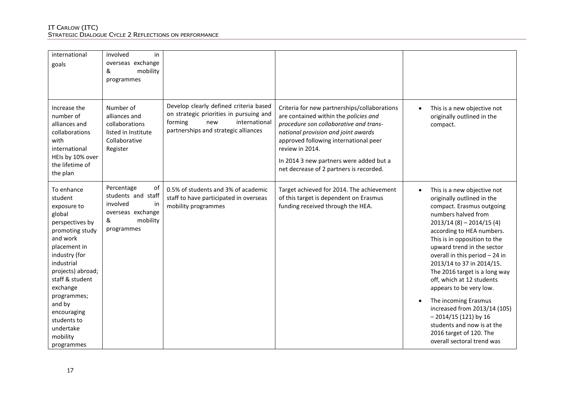| international<br>goals                                                                                                                                                                                                                                                                            | involved<br>in<br>overseas exchange<br>&<br>mobility<br>programmes                                           |                                                                                                                                                              |                                                                                                                                                                                                                                                                                                                          |                                                                                                                                                                                                                                                                                                                                                                                                                                                                                                                                                                       |
|---------------------------------------------------------------------------------------------------------------------------------------------------------------------------------------------------------------------------------------------------------------------------------------------------|--------------------------------------------------------------------------------------------------------------|--------------------------------------------------------------------------------------------------------------------------------------------------------------|--------------------------------------------------------------------------------------------------------------------------------------------------------------------------------------------------------------------------------------------------------------------------------------------------------------------------|-----------------------------------------------------------------------------------------------------------------------------------------------------------------------------------------------------------------------------------------------------------------------------------------------------------------------------------------------------------------------------------------------------------------------------------------------------------------------------------------------------------------------------------------------------------------------|
| Increase the<br>number of<br>alliances and<br>collaborations<br>with<br>international<br>HEIs by 10% over<br>the lifetime of<br>the plan                                                                                                                                                          | Number of<br>alliances and<br>collaborations<br>listed in Institute<br>Collaborative<br>Register             | Develop clearly defined criteria based<br>on strategic priorities in pursuing and<br>forming<br>international<br>new<br>partnerships and strategic alliances | Criteria for new partnerships/collaborations<br>are contained within the policies and<br>procedure son collaborative and trans-<br>national provision and joint awards<br>approved following international peer<br>review in 2014.<br>In 2014 3 new partners were added but a<br>net decrease of 2 partners is recorded. | This is a new objective not<br>originally outlined in the<br>compact.                                                                                                                                                                                                                                                                                                                                                                                                                                                                                                 |
| To enhance<br>student<br>exposure to<br>global<br>perspectives by<br>promoting study<br>and work<br>placement in<br>industry (for<br>industrial<br>projects) abroad;<br>staff & student<br>exchange<br>programmes;<br>and by<br>encouraging<br>students to<br>undertake<br>mobility<br>programmes | Percentage<br>of<br>students and staff<br>involved<br>in<br>overseas exchange<br>&<br>mobility<br>programmes | 0.5% of students and 3% of academic<br>staff to have participated in overseas<br>mobility programmes                                                         | Target achieved for 2014. The achievement<br>of this target is dependent on Erasmus<br>funding received through the HEA.                                                                                                                                                                                                 | This is a new objective not<br>originally outlined in the<br>compact. Erasmus outgoing<br>numbers halved from<br>$2013/14(8) - 2014/15(4)$<br>according to HEA numbers.<br>This is in opposition to the<br>upward trend in the sector<br>overall in this period - 24 in<br>2013/14 to 37 in 2014/15.<br>The 2016 target is a long way<br>off, which at 12 students<br>appears to be very low.<br>The incoming Erasmus<br>increased from 2013/14 (105)<br>$-2014/15(121)$ by 16<br>students and now is at the<br>2016 target of 120. The<br>overall sectoral trend was |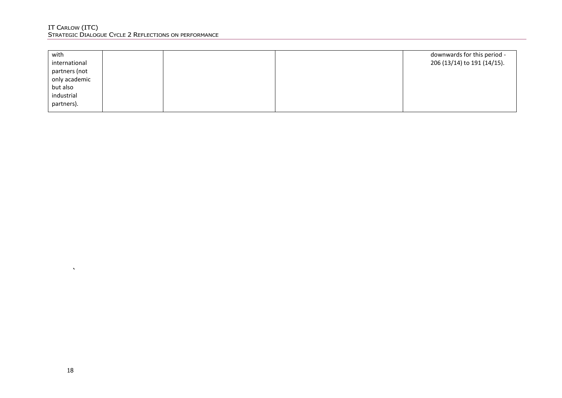| with          |  | downwards for this period - |
|---------------|--|-----------------------------|
| international |  | 206 (13/14) to 191 (14/15). |
| partners (not |  |                             |
| only academic |  |                             |
| but also      |  |                             |
| industrial    |  |                             |
| partners).    |  |                             |

 $\Delta$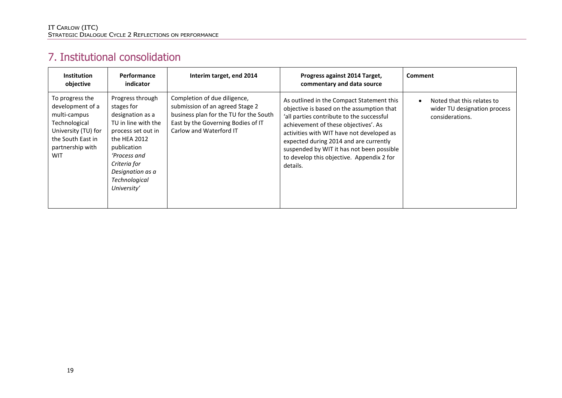### 7. Institutional consolidation

| <b>Institution</b><br>objective                                                                                                                    | <b>Performance</b><br>indicator                                                                                                                                                                                    | Interim target, end 2014                                                                                                                                                   | Progress against 2014 Target,<br>commentary and data source                                                                                                                                                                                                                                                                                                              | <b>Comment</b>                                                                |
|----------------------------------------------------------------------------------------------------------------------------------------------------|--------------------------------------------------------------------------------------------------------------------------------------------------------------------------------------------------------------------|----------------------------------------------------------------------------------------------------------------------------------------------------------------------------|--------------------------------------------------------------------------------------------------------------------------------------------------------------------------------------------------------------------------------------------------------------------------------------------------------------------------------------------------------------------------|-------------------------------------------------------------------------------|
| To progress the<br>development of a<br>multi-campus<br>Technological<br>University (TU) for<br>the South East in<br>partnership with<br><b>WIT</b> | Progress through<br>stages for<br>designation as a<br>TU in line with the<br>process set out in<br>the HEA 2012<br>publication<br>'Process and<br>Criteria for<br>Designation as a<br>Technological<br>University' | Completion of due diligence,<br>submission of an agreed Stage 2<br>business plan for the TU for the South<br>East by the Governing Bodies of IT<br>Carlow and Waterford IT | As outlined in the Compact Statement this<br>objective is based on the assumption that<br>'all parties contribute to the successful<br>achievement of these objectives'. As<br>activities with WIT have not developed as<br>expected during 2014 and are currently<br>suspended by WIT it has not been possible<br>to develop this objective. Appendix 2 for<br>details. | Noted that this relates to<br>wider TU designation process<br>considerations. |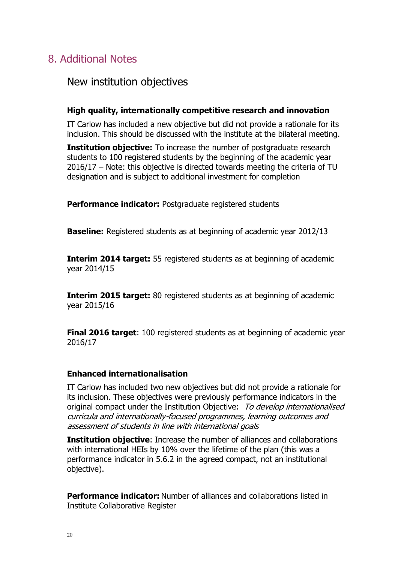### 8. Additional Notes

### New institution objectives

### **High quality, internationally competitive research and innovation**

IT Carlow has included a new objective but did not provide a rationale for its inclusion. This should be discussed with the institute at the bilateral meeting.

**Institution objective:** To increase the number of postgraduate research students to 100 registered students by the beginning of the academic year 2016/17 – Note: this objective is directed towards meeting the criteria of TU designation and is subject to additional investment for completion

**Performance indicator:** Postgraduate registered students

**Baseline:** Registered students as at beginning of academic year 2012/13

**Interim 2014 target:** 55 registered students as at beginning of academic year 2014/15

**Interim 2015 target:** 80 registered students as at beginning of academic year 2015/16

**Final 2016 target**: 100 registered students as at beginning of academic year 2016/17

### **Enhanced internationalisation**

IT Carlow has included two new objectives but did not provide a rationale for its inclusion. These objectives were previously performance indicators in the original compact under the Institution Objective: To develop internationalised curricula and internationally-focused programmes, learning outcomes and assessment of students in line with international goals

**Institution objective**: Increase the number of alliances and collaborations with international HEIs by 10% over the lifetime of the plan (this was a performance indicator in 5.6.2 in the agreed compact, not an institutional objective).

**Performance indicator:** Number of alliances and collaborations listed in Institute Collaborative Register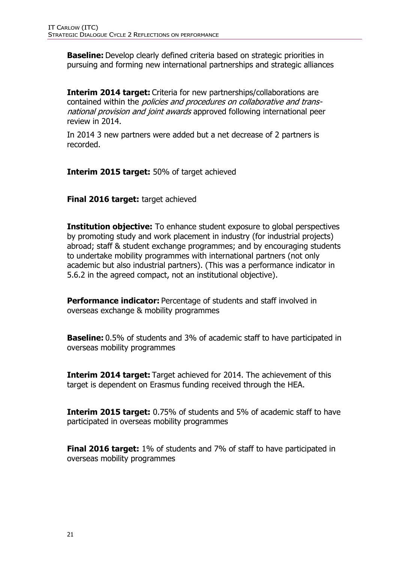**Baseline:** Develop clearly defined criteria based on strategic priorities in pursuing and forming new international partnerships and strategic alliances

**Interim 2014 target:** Criteria for new partnerships/collaborations are contained within the policies and procedures on collaborative and transnational provision and joint awards approved following international peer review in 2014.

In 2014 3 new partners were added but a net decrease of 2 partners is recorded.

**Interim 2015 target:** 50% of target achieved

**Final 2016 target:** target achieved

**Institution objective:** To enhance student exposure to global perspectives by promoting study and work placement in industry (for industrial projects) abroad; staff & student exchange programmes; and by encouraging students to undertake mobility programmes with international partners (not only academic but also industrial partners). (This was a performance indicator in 5.6.2 in the agreed compact, not an institutional objective).

**Performance indicator:** Percentage of students and staff involved in overseas exchange & mobility programmes

**Baseline:** 0.5% of students and 3% of academic staff to have participated in overseas mobility programmes

**Interim 2014 target:** Target achieved for 2014. The achievement of this target is dependent on Erasmus funding received through the HEA.

**Interim 2015 target:** 0.75% of students and 5% of academic staff to have participated in overseas mobility programmes

**Final 2016 target:** 1% of students and 7% of staff to have participated in overseas mobility programmes